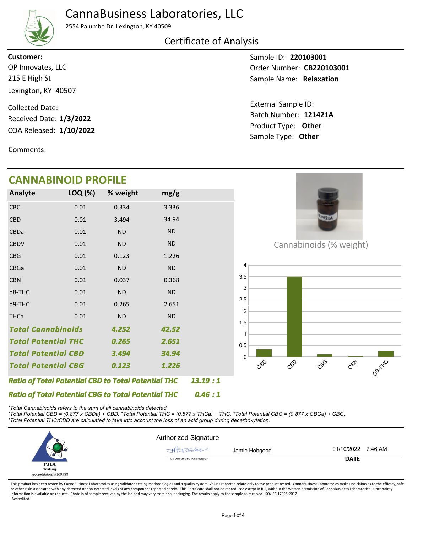## CannaBusiness Laboratories, LLC



2554 Palumbo Dr. Lexington, KY 40509

#### Certificate of Analysis

215 E High St Lexington, KY 40507 OP Innovates, LLC **Customer:**

COA Released: 1/10/2022 Collected Date: Received Date: **1/3/2022**

Comments:

## **CANNABINOID PROFILE**

Sample ID: **220103001** Sample Name: Relaxation Order Number: CB220103001

Product Type: **Other 1/10/2022 121421A** Batch Number: External Sample ID: Sample Type: **Other**

| <b>CANNA</b>               | BINOID PROFILE                                             |           |           |         |                           |
|----------------------------|------------------------------------------------------------|-----------|-----------|---------|---------------------------|
| Analyte                    | LOQ (%)                                                    | % weight  | mg/g      |         |                           |
| <b>CBC</b>                 | 0.01                                                       | 0.334     | 3.336     |         |                           |
| <b>CBD</b>                 | 0.01                                                       | 3.494     | 34.94     |         | <b>UNIZIA</b>             |
| CBDa                       | 0.01                                                       | ND        | <b>ND</b> |         |                           |
| <b>CBDV</b>                | 0.01                                                       | <b>ND</b> | <b>ND</b> |         | Cannabinoids (% weight)   |
| <b>CBG</b>                 | 0.01                                                       | 0.123     | 1.226     |         |                           |
| <b>CBGa</b>                | 0.01                                                       | <b>ND</b> | <b>ND</b> |         | 4                         |
| <b>CBN</b>                 | 0.01                                                       | 0.037     | 0.368     |         | 3.5                       |
| d8-THC                     | 0.01                                                       | <b>ND</b> | <b>ND</b> |         | 3<br>2.5                  |
| d9-THC                     | 0.01                                                       | 0.265     | 2.651     |         | $\overline{c}$            |
| <b>THCa</b>                | 0.01                                                       | <b>ND</b> | <b>ND</b> |         | 1.5                       |
| <b>Total Cannabinoids</b>  |                                                            | 4.252     | 42.52     |         | 1                         |
| <b>Total Potential THC</b> |                                                            | 0.265     | 2.651     |         | 0.5                       |
| <b>Total Potential CBD</b> |                                                            | 3.494     | 34.94     |         | O                         |
| <b>Total Potential CBG</b> |                                                            | 0.123     | 1.226     |         | CBY<br>CBC<br>දහි<br>coco |
|                            | <b>Ratio of Total Potential CBD to Total Potential THC</b> |           |           | 13.19:1 |                           |
|                            | <b>Ratio of Total Potential CBG to Total Potential THC</b> |           |           | 0.46:1  |                           |

*\*Total Cannabinoids refers to the sum of all cannabinoids detected.*

*\*Total Potential CBD = (0.877 x CBDa) + CBD. \*Total Potential THC = (0.877 x THCa) + THC. \*Total Potential CBG = (0.877 x CBGa) + CBG. \*Total Potential THC/CBD are calculated to take into account the loss of an acid group during decarboxylation.*



This product has been tested by CannaBusiness Laboratories using validated testing methodologies and a quality system. Values reported relate only to the product tested. CannaBusiness Laboratories makes no claims as to the or other risks associated with any detected or non-detected levels of any compounds reported herein. This Certificate shall not be reproduced except in full, without the written permission of CannaBusiness Laboratories. Un information is available on request. Photo is of sample received by the lab and may vary from final packaging. The results apply to the sample as received. ISO/IEC 17025:2017 Accredited.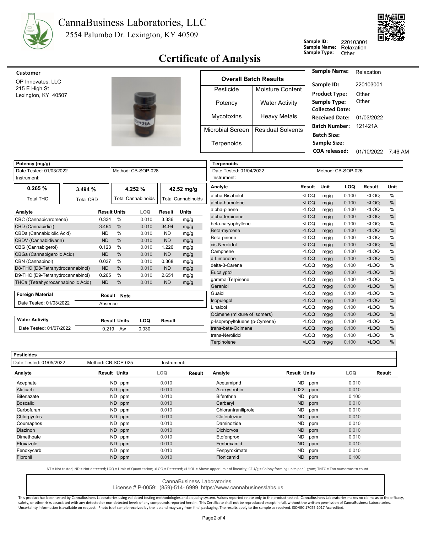

# **Certificate of Analysis** Sample Type:

| Customer                             |                  |                              | Sample Name:                               | Relaxation |         |
|--------------------------------------|------------------|------------------------------|--------------------------------------------|------------|---------|
| OP Innovates, LLC                    |                  | <b>Overall Batch Results</b> | Sample ID:                                 | 220103001  |         |
| 215 E High St<br>Lexington, KY 40507 | Pesticide        | Moisture Content             | <b>Product Type:</b>                       | Other      |         |
|                                      | Potency          | <b>Water Activity</b>        | Sample Type:<br><b>Collected Date:</b>     | Other      |         |
| <b>THISTN</b>                        | Mycotoxins       | <b>Heavy Metals</b>          | <b>Received Date:</b>                      | 01/03/2022 |         |
|                                      | Microbial Screen | Residual Solvents            | <b>Batch Number:</b><br><b>Batch Size:</b> | 121421A    |         |
|                                      | Terpenoids       |                              | <b>Sample Size:</b>                        |            |         |
|                                      |                  |                              | <b>COA released:</b>                       | 01/10/2022 | 7:46 AM |

**Sample ID:**

**Sample Name:**

Relaxation<br>Other

220103001

| Potency (mg/g)                     |                  |                     |                     |                           |           |                    | <b>Terpenoids</b>             |                                                                                                                      |      |                    |         |      |
|------------------------------------|------------------|---------------------|---------------------|---------------------------|-----------|--------------------|-------------------------------|----------------------------------------------------------------------------------------------------------------------|------|--------------------|---------|------|
| Date Tested: 01/03/2022            |                  |                     |                     | Method: CB-SOP-028        |           |                    | Date Tested: 01/04/2022       |                                                                                                                      |      | Method: CB-SOP-026 |         |      |
| Instrument:                        |                  |                     |                     |                           |           |                    | Instrument:                   |                                                                                                                      |      |                    |         |      |
| 0.265%                             | 3.494 %          |                     |                     | 4.252 %                   |           | $42.52$ mg/g       | Analyte                       | <b>Result</b>                                                                                                        | Unit | LOQ                | Result  | Unit |
| <b>Total THC</b>                   |                  |                     |                     | <b>Total Cannabinoids</b> |           | Total Cannabinoids | alpha-Bisabolol               | <loq< td=""><td>mg/g</td><td>0.100</td><td><math>&lt;</math>LOQ</td><td>%</td></loq<>                                | mg/g | 0.100              | $<$ LOQ | %    |
|                                    | <b>Total CBD</b> |                     |                     |                           |           |                    | alpha-humulene                | $<$ LOQ                                                                                                              | mg/g | 0.100              | $<$ LOQ | $\%$ |
| Analyte                            |                  | <b>Result Units</b> |                     | LOQ                       | Result    | <b>Units</b>       | alpha-pinene                  | $<$ LOQ                                                                                                              | mg/g | 0.100              | $<$ LOQ | $\%$ |
| CBC (Cannabichromene)              |                  | 0.334               | $\%$                | 0.010                     | 3.336     | mg/g               | alpha-terpinene               | $<$ LOQ                                                                                                              | mg/g | 0.100              | $<$ LOQ | $\%$ |
| CBD (Cannabidiol)                  |                  | 3.494               | $\%$                | 0.010                     | 34.94     | mg/g               | beta-caryophyllene            | $<$ LOQ                                                                                                              | mg/g | 0.100              | $<$ LOQ | %    |
| CBDa (Cannabidiolic Acid)          |                  | <b>ND</b>           | $\%$                | 0.010                     | <b>ND</b> | mg/g               | Beta-myrcene                  | $<$ LOQ                                                                                                              | mg/g | 0.100              | $<$ LOQ | $\%$ |
| CBDV (Cannabidivarin)              |                  | <b>ND</b>           | $\%$                | 0.010                     | <b>ND</b> | mg/g               | Beta-pinene                   | <loq< td=""><td>mg/g</td><td>0.100</td><td><math>&lt;</math>LOQ</td><td><math display="inline">\%</math></td></loq<> | mg/g | 0.100              | $<$ LOQ | $\%$ |
| CBG (Cannabigerol)                 |                  | 0.123               | $\%$                | 0.010                     | 1.226     | mg/g               | cis-Nerolidol                 | $<$ LOQ                                                                                                              | mg/g | 0.100              | $<$ LOQ | $\%$ |
| CBGa (Cannabigerolic Acid)         |                  | <b>ND</b>           | $\%$                | 0.010                     | <b>ND</b> | mg/g               | Camphene                      | <loq< td=""><td>mg/g</td><td>0.100</td><td><math>&lt;</math>LOQ</td><td><math display="inline">\%</math></td></loq<> | mg/g | 0.100              | $<$ LOQ | $\%$ |
| CBN (Cannabinol)                   |                  | 0.037               | %                   | 0.010                     | 0.368     | mg/g               | d-Limonene                    | $<$ LOQ                                                                                                              | mg/g | 0.100              | $<$ LOQ | $\%$ |
| D8-THC (D8-Tetrahydrocannabinol)   |                  | <b>ND</b>           | $\%$                | 0.010                     | <b>ND</b> | mg/g               | delta-3-Carene                | $<$ LOQ                                                                                                              | mg/g | 0.100              | $<$ LOQ | $\%$ |
| D9-THC (D9-Tetrahydrocannabinol)   |                  | 0.265               | $\%$                | 0.010                     | 2.651     | mg/g               | Eucalyptol                    | $<$ LOQ                                                                                                              | mg/g | 0.100              | $<$ LOQ | $\%$ |
| THCa (Tetrahydrocannabinolic Acid) |                  | <b>ND</b>           | %                   | 0.010                     | <b>ND</b> | mg/g               | gamma-Terpinene               | <loq< td=""><td>mg/g</td><td>0.100</td><td><math>&lt;</math>LOQ</td><td><math display="inline">\%</math></td></loq<> | mg/g | 0.100              | $<$ LOQ | $\%$ |
|                                    |                  |                     |                     |                           |           |                    | Geraniol                      | $<$ LOQ                                                                                                              | mg/g | 0.100              | $<$ LOQ | $\%$ |
| <b>Foreign Material</b>            |                  | Result              | <b>Note</b>         |                           |           |                    | Guaiol                        | $<$ LOQ                                                                                                              | mg/g | 0.100              | $<$ LOQ | $\%$ |
| Date Tested: 01/03/2022            |                  | Absence             |                     |                           |           |                    | Isopulegol                    | $<$ LOQ                                                                                                              | mg/g | 0.100              | $<$ LOQ | $\%$ |
|                                    |                  |                     |                     |                           |           |                    | Linalool                      | $<$ LOQ                                                                                                              | mg/g | 0.100              | $<$ LOQ | $\%$ |
|                                    |                  |                     |                     |                           |           |                    | Ocimene (mixture of isomers)  | $<$ LOQ                                                                                                              | mg/g | 0.100              | $<$ LOQ | $\%$ |
| <b>Water Activity</b>              |                  |                     | <b>Result Units</b> | <b>LOQ</b>                | Result    |                    | p-Isopropyltoluene (p-Cymene) | $<$ LOQ                                                                                                              | mg/g | 0.100              | $<$ LOQ | %    |
| Date Tested: 01/07/2022            |                  | 0.219               | Aw                  | 0.030                     |           |                    | trans-beta-Ocimene            | $<$ LOQ                                                                                                              | mg/g | 0.100              | $<$ LOQ | $\%$ |
|                                    |                  |                     |                     |                           |           |                    | trans-Nerolidol               | $<$ LOQ                                                                                                              | mg/g | 0.100              | $<$ LOQ | %    |
|                                    |                  |                     |                     |                           |           |                    | Terpinolene                   | $<$ LOQ                                                                                                              | mq/q | 0.100              | $<$ LOQ | $\%$ |

| <b>Pesticides</b>       |                     |             |        |                     |                     |     |            |        |
|-------------------------|---------------------|-------------|--------|---------------------|---------------------|-----|------------|--------|
| Date Tested: 01/05/2022 | Method: CB-SOP-025  | Instrument: |        |                     |                     |     |            |        |
| Analyte                 | <b>Result Units</b> | <b>LOQ</b>  | Result | Analyte             | <b>Result Units</b> |     | <b>LOQ</b> | Result |
| Acephate                | ND ppm              | 0.010       |        | Acetamiprid         | <b>ND</b>           | ppm | 0.010      |        |
| Aldicarb                | ND ppm              | 0.010       |        | Azoxystrobin        | 0.022 ppm           |     | 0.010      |        |
| Bifenazate              | ND ppm              | 0.010       |        | <b>Bifenthrin</b>   | ND                  | ppm | 0.100      |        |
| <b>Boscalid</b>         | ND ppm              | 0.010       |        | Carbaryl            | ND.                 | ppm | 0.010      |        |
| Carbofuran              | <b>ND</b><br>ppm    | 0.010       |        | Chlorantraniliprole | <b>ND</b>           | ppm | 0.010      |        |
| Chlorpyrifos            | ND ppm              | 0.010       |        | Clofentezine        | ND                  | ppm | 0.010      |        |
| Coumaphos               | ND ppm              | 0.010       |        | Daminozide          | ND.                 | ppm | 0.010      |        |
| <b>Diazinon</b>         | ND ppm              | 0.010       |        | <b>Dichlorvos</b>   | <b>ND</b>           | ppm | 0.010      |        |
| Dimethoate              | ND ppm              | 0.010       |        | Etofenprox          | <b>ND</b>           | ppm | 0.010      |        |
| Etoxazole               | ND ppm              | 0.010       |        | Fenhexamid          | ND.                 | ppm | 0.010      |        |
| Fenoxycarb              | <b>ND</b><br>ppm    | 0.010       |        | Fenpyroximate       | <b>ND</b>           | ppm | 0.010      |        |
| Fipronil                | ND ppm              | 0.010       |        | Flonicamid          | ND.                 | ppm | 0.100      |        |
|                         |                     |             |        |                     |                     |     |            |        |

NT = Not tested, ND = Not detected; LOQ = Limit of Quantitation; <LOQ = Detected; >ULOL = Above upper limit of linearity; CFU/g = Colony forming units per 1 gram; TNTC = Too numerous to count

CannaBusiness Laboratories

License # P-0059: (859)-514- 6999 https://www.cannabusinesslabs.us

This product has been tested by CannaBusiness Laboratories using validated testing methodologies and a quality system. Values reported relate only to the product tested. CannaBusiness Laboratories makes no claims as to the safety, or other risks associated with any detected or non-detected levels of any compounds reported herein. This Certificate shall not be reproduced except in full, without the written permission of CannaBusiness Laborato Uncertainty information is available on request. Photo is of sample received by the lab and may vary from final packaging. The results apply to the sample as received. ISO/IEC 17025:2017 Accredited.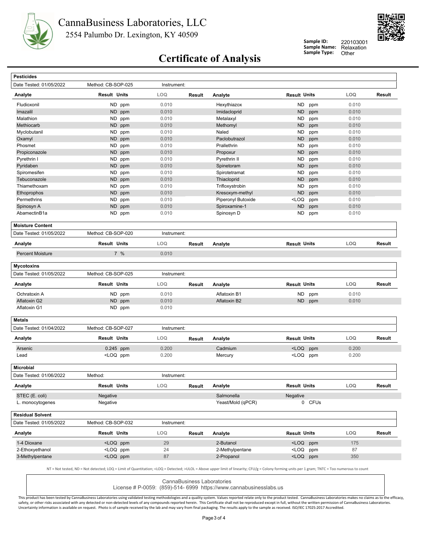



**Sample ID:**

**Sample Name:**

Relaxation<br>Other

220103001

# **Certificate of Analysis** Sample Type:

| <b>Pesticides</b>       |                                                                                                                                                       |             |        |                    |                                                                         |        |            |                  |
|-------------------------|-------------------------------------------------------------------------------------------------------------------------------------------------------|-------------|--------|--------------------|-------------------------------------------------------------------------|--------|------------|------------------|
| Date Tested: 01/05/2022 | Method: CB-SOP-025                                                                                                                                    | Instrument: |        |                    |                                                                         |        |            |                  |
| Analyte                 | <b>Result Units</b>                                                                                                                                   | LOQ         | Result | Analyte            | <b>Result Units</b>                                                     |        | LOQ        | Result           |
| Fludioxonil             | ND<br>ppm                                                                                                                                             | 0.010       |        | Hexythiazox        | <b>ND</b>                                                               | ppm    | 0.010      |                  |
| Imazalil                | ND ppm                                                                                                                                                | 0.010       |        | Imidacloprid       | <b>ND</b>                                                               | ppm    | 0.010      |                  |
| Malathion               | ND ppm                                                                                                                                                | 0.010       |        | Metalaxyl          | <b>ND</b>                                                               | ppm    | 0.010      |                  |
| Methiocarb              | ND<br>ppm                                                                                                                                             | 0.010       |        | Methomyl           | <b>ND</b>                                                               | ppm    | 0.010      |                  |
| Myclobutanil            | ND<br>ppm                                                                                                                                             | 0.010       |        | Naled              | <b>ND</b>                                                               | ppm    | 0.010      |                  |
| Oxamyl                  | ND.<br>ppm                                                                                                                                            | 0.010       |        | Paclobutrazol      | ND                                                                      | ppm    | 0.010      |                  |
| Phosmet                 | ND<br>ppm                                                                                                                                             | 0.010       |        | Prallethrin        | <b>ND</b>                                                               | ppm    | 0.010      |                  |
| Propiconazole           | ND ppm                                                                                                                                                | 0.010       |        | Propoxur           | <b>ND</b>                                                               | ppm    | 0.010      |                  |
| Pyrethrin I             | ND.<br>ppm                                                                                                                                            | 0.010       |        | Pyrethrin II       | <b>ND</b>                                                               | ppm    | 0.010      |                  |
| Pyridaben               | <b>ND</b><br>ppm                                                                                                                                      | 0.010       |        | Spinetoram         | <b>ND</b>                                                               | ppm    | 0.010      |                  |
| Spiromesifen            | ND ppm                                                                                                                                                | 0.010       |        | Spirotetramat      | <b>ND</b>                                                               | ppm    | 0.010      |                  |
| Tebuconazole            | ND<br>ppm                                                                                                                                             | 0.010       |        | Thiacloprid        | ND                                                                      | ppm    | 0.010      |                  |
| Thiamethoxam            | ND<br>ppm                                                                                                                                             | 0.010       |        | Trifloxystrobin    | <b>ND</b>                                                               | ppm    | 0.010      |                  |
| Ethoprophos             | ND ppm                                                                                                                                                | 0.010       |        | Kresoxym-methyl    | ND                                                                      | ppm    | 0.010      |                  |
| Permethrins             | ND<br>ppm                                                                                                                                             | 0.010       |        | Piperonyl Butoxide | <loq< td=""><td>ppm</td><td>0.010</td><td></td></loq<>                  | ppm    | 0.010      |                  |
| Spinosyn A              | ND<br>ppm                                                                                                                                             | 0.010       |        | Spiroxamine-1      | <b>ND</b>                                                               | ppm    | 0.010      |                  |
| AbamectinB1a            | ND ppm                                                                                                                                                | 0.010       |        | Spinosyn D         | ND                                                                      | ppm    | 0.010      |                  |
| <b>Moisture Content</b> |                                                                                                                                                       |             |        |                    |                                                                         |        |            |                  |
| Date Tested: 01/05/2022 | Method: CB-SOP-020                                                                                                                                    | Instrument: |        |                    |                                                                         |        |            |                  |
| Analyte                 | <b>Result Units</b>                                                                                                                                   | LOQ         | Result | Analyte            | <b>Result Units</b>                                                     |        | LOQ        | Result           |
| <b>Percent Moisture</b> | 7%                                                                                                                                                    | 0.010       |        |                    |                                                                         |        |            |                  |
| <b>Mycotoxins</b>       |                                                                                                                                                       |             |        |                    |                                                                         |        |            |                  |
| Date Tested: 01/05/2022 | Method: CB-SOP-025                                                                                                                                    | Instrument: |        |                    |                                                                         |        |            |                  |
| Analyte                 | <b>Result Units</b>                                                                                                                                   | LOQ         | Result | Analyte            | <b>Result Units</b>                                                     |        | LOQ        | Result           |
| Ochratoxin A            | ND ppm                                                                                                                                                | 0.010       |        | Aflatoxin B1       | <b>ND</b>                                                               | ppm    | 0.010      |                  |
| Aflatoxin G2            | ND<br>ppm                                                                                                                                             | 0.010       |        | Aflatoxin B2       | ND                                                                      | ppm    | 0.010      |                  |
| Aflatoxin G1            | ND ppm                                                                                                                                                | 0.010       |        |                    |                                                                         |        |            |                  |
| <b>Metals</b>           |                                                                                                                                                       |             |        |                    |                                                                         |        |            |                  |
| Date Tested: 01/04/2022 | Method: CB-SOP-027                                                                                                                                    | Instrument: |        |                    |                                                                         |        |            |                  |
| Analyte                 | <b>Result Units</b>                                                                                                                                   | <b>LOQ</b>  | Result | Analyte            | <b>Result Units</b>                                                     |        | <b>LOQ</b> | Result           |
| Arsenic                 | 0.245 ppm                                                                                                                                             | 0.200       |        | Cadmium            | <loq ppm<="" td=""><td></td><td>0.200</td><td></td></loq>               |        | 0.200      |                  |
| Lead                    | <loq ppm<="" td=""><td>0.200</td><td></td><td>Mercury</td><td><loq< td=""><td>ppm</td><td>0.200</td><td></td></loq<></td></loq>                       | 0.200       |        | Mercury            | <loq< td=""><td>ppm</td><td>0.200</td><td></td></loq<>                  | ppm    | 0.200      |                  |
|                         |                                                                                                                                                       |             |        |                    |                                                                         |        |            |                  |
| <b>Microbial</b>        |                                                                                                                                                       |             |        |                    |                                                                         |        |            |                  |
| Date Tested: 01/06/2022 | Method:                                                                                                                                               | Instrument: |        |                    |                                                                         |        |            |                  |
| Analyte                 | Result Units                                                                                                                                          | LOQ         | Result | Analyte            | <b>Result Units</b>                                                     |        | <b>LOQ</b> |                  |
| STEC (E. coli)          | Negative                                                                                                                                              |             |        | Salmonella         | Negative                                                                |        |            |                  |
| L. monocytogenes        | Negative                                                                                                                                              |             |        | Yeast/Mold (qPCR)  |                                                                         | 0 CFUs |            |                  |
| <b>Residual Solvent</b> |                                                                                                                                                       |             |        |                    |                                                                         |        |            |                  |
| Date Tested: 01/05/2022 | Method: CB-SOP-032                                                                                                                                    | Instrument: |        |                    |                                                                         |        |            |                  |
| Analyte                 | <b>Result Units</b>                                                                                                                                   | LOQ         | Result | Analyte            | <b>Result Units</b>                                                     |        | <b>LOQ</b> |                  |
| 1-4 Dioxane             | <loq ppm<="" td=""><td>29</td><td></td><td>2-Butanol</td><td><loq ppm<="" td=""><td></td><td>175</td><td></td></loq></td></loq>                       | 29          |        | 2-Butanol          | <loq ppm<="" td=""><td></td><td>175</td><td></td></loq>                 |        | 175        |                  |
| 2-Ethoxyethanol         | <loq ppm<="" td=""><td>24</td><td></td><td>2-Methylpentane</td><td><loq ppm<="" td=""><td></td><td>87</td><td>Result<br/>Result</td></loq></td></loq> | 24          |        | 2-Methylpentane    | <loq ppm<="" td=""><td></td><td>87</td><td>Result<br/>Result</td></loq> |        | 87         | Result<br>Result |

NT = Not tested, ND = Not detected; LOQ = Limit of Quantitation; <LOQ = Detected; >ULOL = Above upper limit of linearity; CFU/g = Colony forming units per 1 gram; TNTC = Too numerous to count

CannaBusiness Laboratories

License # P-0059: (859)-514- 6999 https://www.cannabusinesslabs.us

This product has been tested by CannaBusiness Laboratories using validated testing methodologies and a quality system. Values reported relate only to the product tested. CannaBusiness Laboratories makes no claims as to the safety, or other risks associated with any detected or non-detected levels of any compounds reported herein. This Certificate shall not be reproduced except in full, without the written permission of CannaBusiness Laborato Uncertainty information is available on request. Photo is of sample received by the lab and may vary from final packaging. The results apply to the sample as received. ISO/IEC 17025:2017 Accredited.